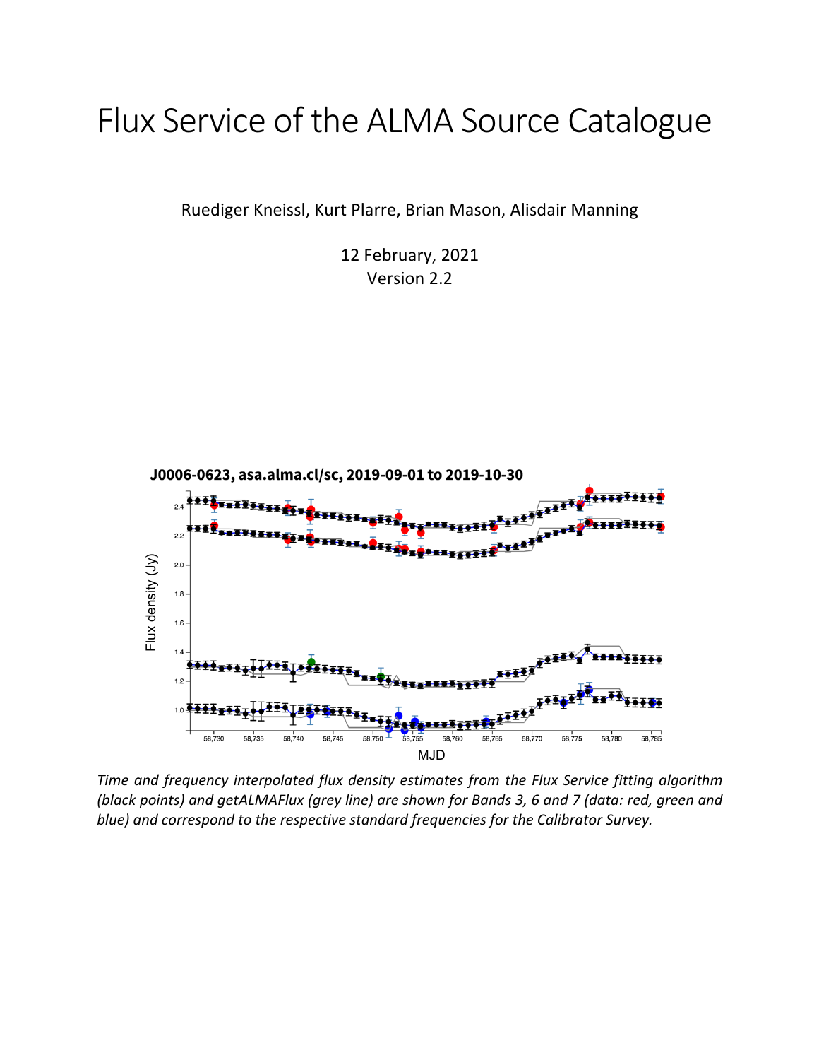# Flux Service of the ALMA Source Catalogue

Ruediger Kneissl, Kurt Plarre, Brian Mason, Alisdair Manning

12 February, 2021 Version 2.2



*Time and frequency interpolated flux density estimates from the Flux Service fitting algorithm (black points) and getALMAFlux (grey line) are shown for Bands 3, 6 and 7 (data: red, green and*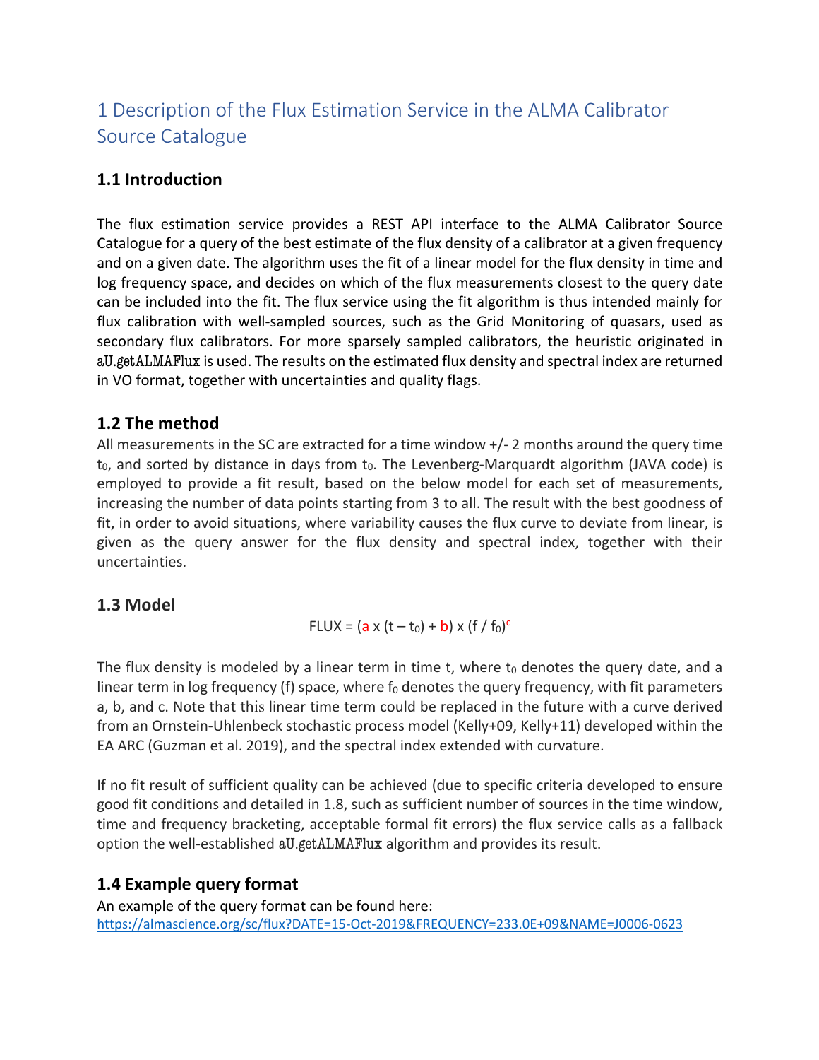# 1 Description of the Flux Estimation Service in the ALMA Calibrator Source Catalogue

## **1.1 Introduction**

The flux estimation service provides a REST API interface to the ALMA Calibrator Source Catalogue for a query of the best estimate of the flux density of a calibrator at a given frequency and on a given date. The algorithm uses the fit of a linear model for the flux density in time and log frequency space, and decides on which of the flux measurements closest to the query date can be included into the fit. The flux service using the fit algorithm is thus intended mainly for flux calibration with well-sampled sources, such as the Grid Monitoring of quasars, used as secondary flux calibrators. For more sparsely sampled calibrators, the heuristic originated in aU.getALMAFlux is used. The results on the estimated flux density and spectral index are returned in VO format, together with uncertainties and quality flags.

## **1.2 The method**

All measurements in the SC are extracted for a time window  $+/-$  2 months around the query time  $t_0$ , and sorted by distance in days from  $t_0$ . The Levenberg-Marquardt algorithm (JAVA code) is employed to provide a fit result, based on the below model for each set of measurements, increasing the number of data points starting from 3 to all. The result with the best goodness of fit, in order to avoid situations, where variability causes the flux curve to deviate from linear, is given as the query answer for the flux density and spectral index, together with their uncertainties.

## **1.3 Model**

$$
FLUX = (a \times (t - t_0) + b) \times (f / f_0)^c
$$

The flux density is modeled by a linear term in time t, where  $t_0$  denotes the query date, and a linear term in log frequency (f) space, where  $f_0$  denotes the query frequency, with fit parameters a, b, and c. Note that this linear time term could be replaced in the future with a curve derived from an Ornstein-Uhlenbeck stochastic process model (Kelly+09, Kelly+11) developed within the EA ARC (Guzman et al. 2019), and the spectral index extended with curvature.

If no fit result of sufficient quality can be achieved (due to specific criteria developed to ensure good fit conditions and detailed in 1.8, such as sufficient number of sources in the time window, time and frequency bracketing, acceptable formal fit errors) the flux service calls as a fallback option the well-established aU.getALMAFlux algorithm and provides its result.

## **1.4 Example query format**

An example of the query format can be found here: https://almascience.org/sc/flux?DATE=15-Oct-2019&FREQUENCY=233.0E+09&NAME=J0006-0623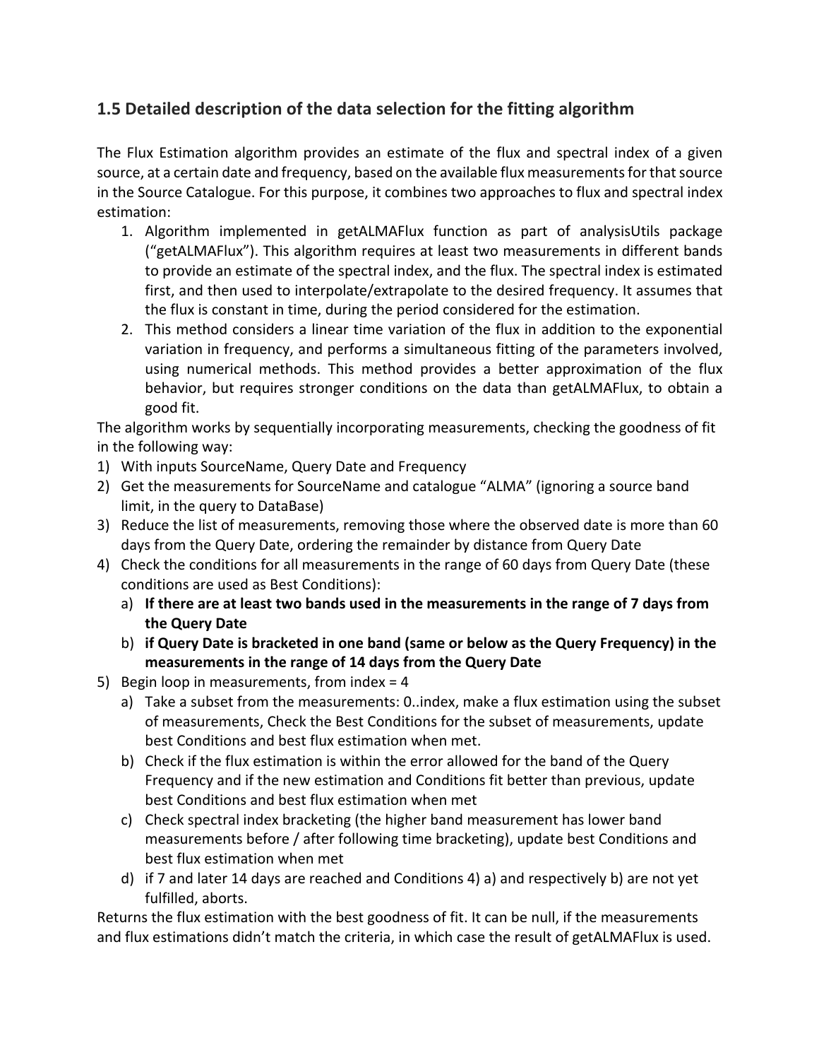## **1.5 Detailed description of the data selection for the fitting algorithm**

The Flux Estimation algorithm provides an estimate of the flux and spectral index of a given source, at a certain date and frequency, based on the available flux measurements for that source in the Source Catalogue. For this purpose, it combines two approaches to flux and spectral index estimation:

- 1. Algorithm implemented in getALMAFlux function as part of analysisUtils package ("getALMAFlux"). This algorithm requires at least two measurements in different bands to provide an estimate of the spectral index, and the flux. The spectral index is estimated first, and then used to interpolate/extrapolate to the desired frequency. It assumes that the flux is constant in time, during the period considered for the estimation.
- 2. This method considers a linear time variation of the flux in addition to the exponential variation in frequency, and performs a simultaneous fitting of the parameters involved, using numerical methods. This method provides a better approximation of the flux behavior, but requires stronger conditions on the data than getALMAFlux, to obtain a good fit.

The algorithm works by sequentially incorporating measurements, checking the goodness of fit in the following way:

- 1) With inputs SourceName, Query Date and Frequency
- 2) Get the measurements for SourceName and catalogue "ALMA" (ignoring a source band limit, in the query to DataBase)
- 3) Reduce the list of measurements, removing those where the observed date is more than 60 days from the Query Date, ordering the remainder by distance from Query Date
- 4) Check the conditions for all measurements in the range of 60 days from Query Date (these conditions are used as Best Conditions):
	- a) **If there are at least two bands used in the measurements in the range of 7 days from the Query Date**
	- b) **if Query Date is bracketed in one band (same or below as the Query Frequency) in the measurements in the range of 14 days from the Query Date**
- 5) Begin loop in measurements, from index = 4
	- a) Take a subset from the measurements: 0..index, make a flux estimation using the subset of measurements, Check the Best Conditions for the subset of measurements, update best Conditions and best flux estimation when met.
	- b) Check if the flux estimation is within the error allowed for the band of the Query Frequency and if the new estimation and Conditions fit better than previous, update best Conditions and best flux estimation when met
	- c) Check spectral index bracketing (the higher band measurement has lower band measurements before / after following time bracketing), update best Conditions and best flux estimation when met
	- d) if 7 and later 14 days are reached and Conditions 4) a) and respectively b) are not yet fulfilled, aborts.

Returns the flux estimation with the best goodness of fit. It can be null, if the measurements and flux estimations didn't match the criteria, in which case the result of getALMAFlux is used.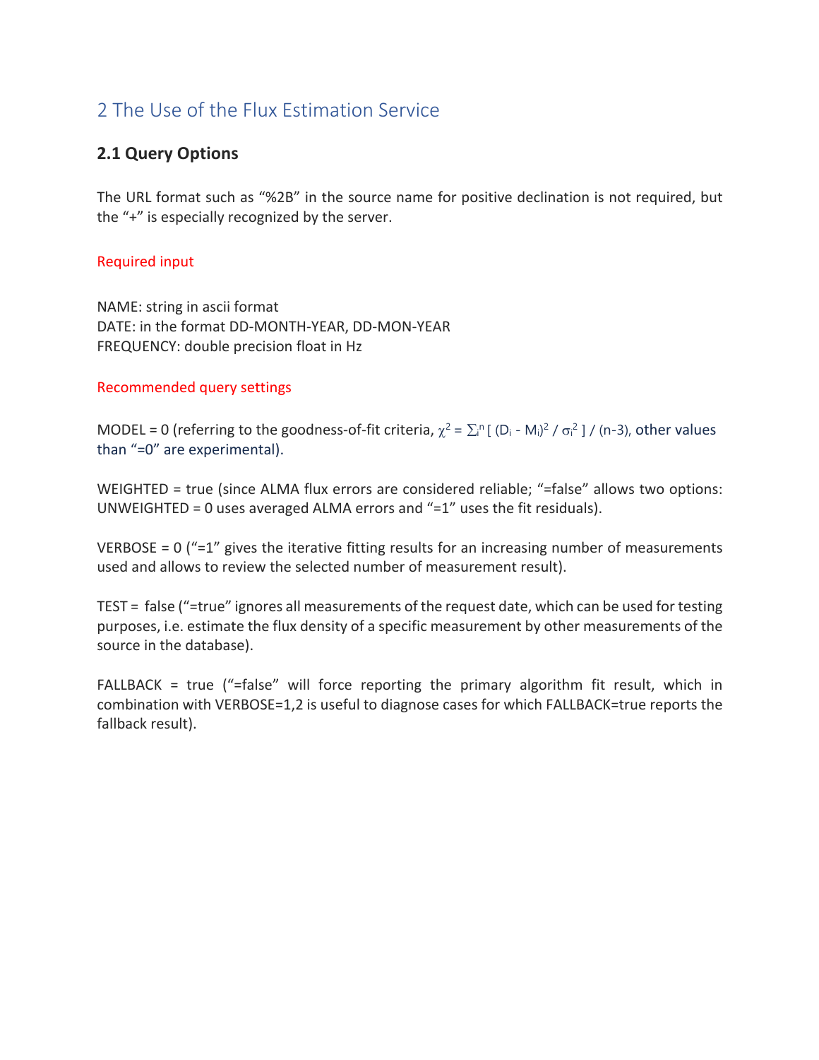# 2 The Use of the Flux Estimation Service

## **2.1 Query Options**

The URL format such as "%2B" in the source name for positive declination is not required, but the "+" is especially recognized by the server.

#### Required input

NAME: string in ascii format DATE: in the format DD-MONTH-YEAR, DD-MON-YEAR FREQUENCY: double precision float in Hz

#### Recommended query settings

MODEL = 0 (referring to the goodness-of-fit criteria,  $\chi^2 = \sum_i^n [(D_i - M_i)^2 / \sigma_i^2] / (n-3)$ , other values than "=0" are experimental).

WEIGHTED = true (since ALMA flux errors are considered reliable; "=false" allows two options: UNWEIGHTED = 0 uses averaged ALMA errors and "=1" uses the fit residuals).

VERBOSE =  $0$  ("=1" gives the iterative fitting results for an increasing number of measurements used and allows to review the selected number of measurement result).

TEST = false ("=true" ignores all measurements of the request date, which can be used for testing purposes, i.e. estimate the flux density of a specific measurement by other measurements of the source in the database).

FALLBACK = true ("=false" will force reporting the primary algorithm fit result, which in combination with VERBOSE=1,2 is useful to diagnose cases for which FALLBACK=true reports the fallback result).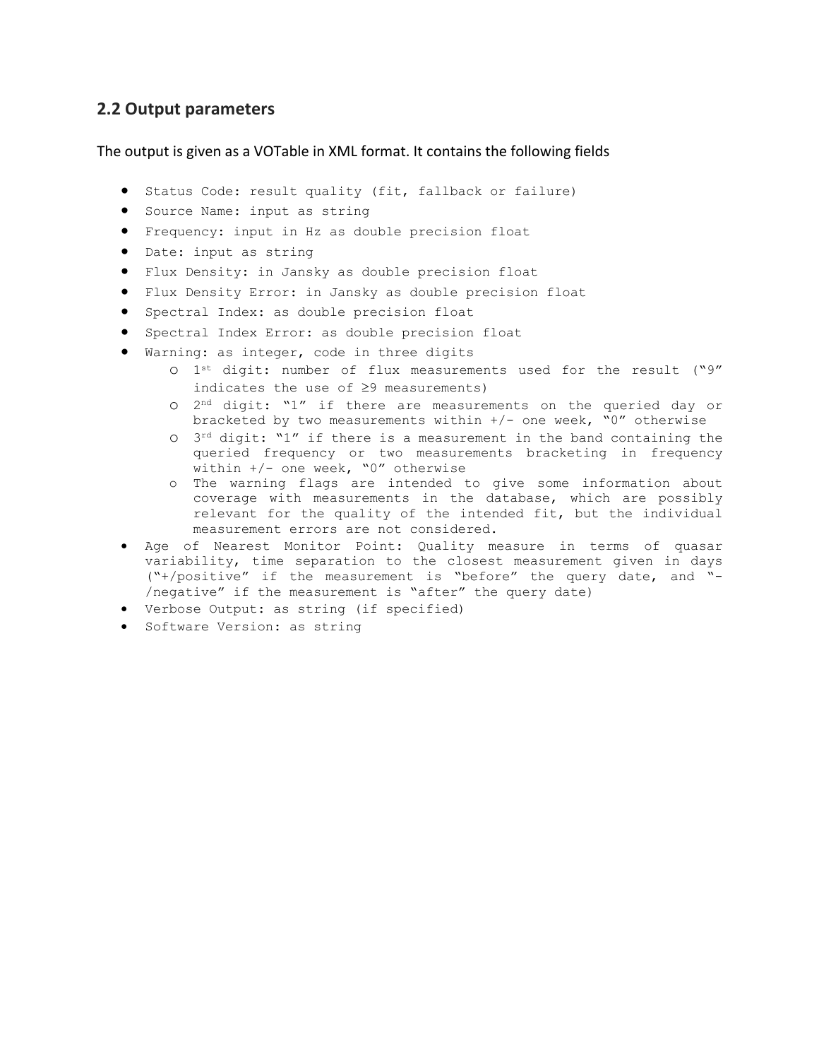#### **2.2 Output parameters**

The output is given as a VOTable in XML format. It contains the following fields

- Status Code: result quality (fit, fallback or failure)
- Source Name: input as string
- Frequency: input in Hz as double precision float
- Date: input as string
- Flux Density: in Jansky as double precision float
- Flux Density Error: in Jansky as double precision float
- Spectral Index: as double precision float
- Spectral Index Error: as double precision float
- Warning: as integer, code in three digits
	- o 1st digit: number of flux measurements used for the result ("9" indicates the use of  $\geq$ 9 measurements)
	- o 2nd digit: "1" if there are measurements on the queried day or bracketed by two measurements within  $+/-$  one week, "0" otherwise
	- $O$  3<sup>rd</sup> digit: "1" if there is a measurement in the band containing the queried frequency or two measurements bracketing in frequency within  $+/-$  one week, "0" otherwise
	- o The warning flags are intended to give some information about coverage with measurements in the database, which are possibly relevant for the quality of the intended fit, but the individual measurement errors are not considered.
- Age of Nearest Monitor Point: Quality measure in terms of quasar variability, time separation to the closest measurement given in days ("+/positive" if the measurement is "before" the query date, and "- /negative" if the measurement is "after" the query date)
- Verbose Output: as string (if specified)
- Software Version: as string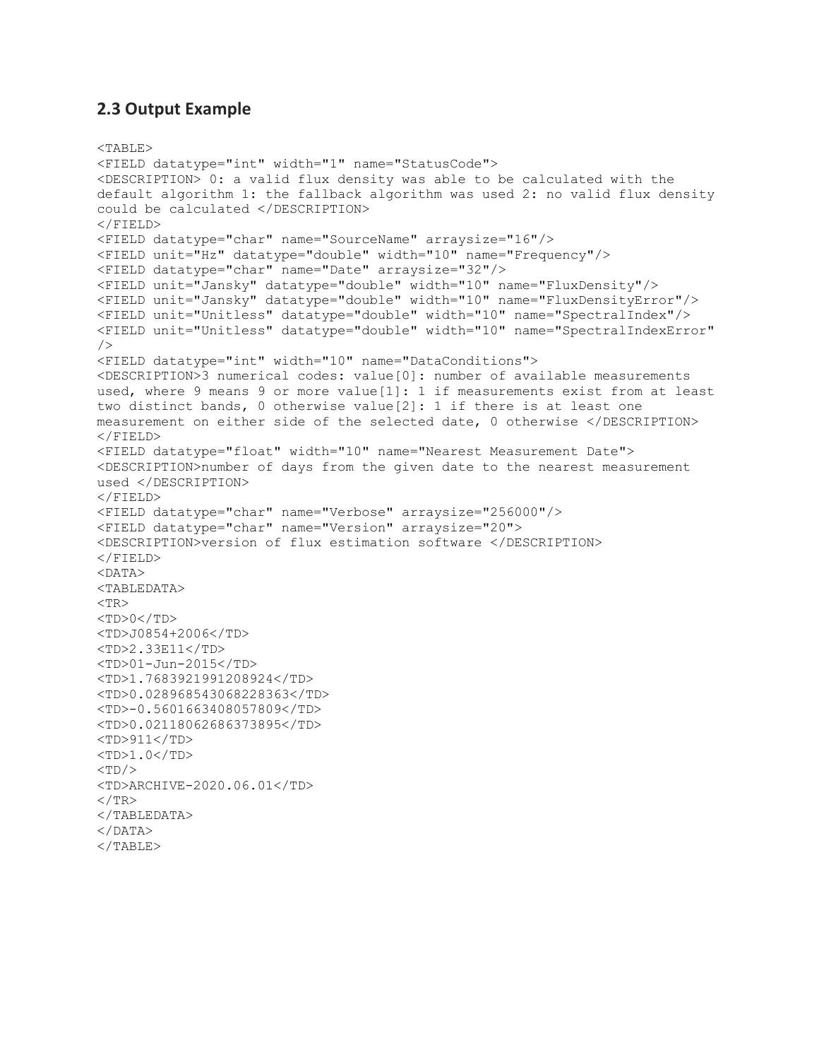#### **2.3 Output Example**

```
<TABLE>
<FIELD datatype="int" width="1" name="StatusCode">
<DESCRIPTION> 0: a valid flux density was able to be calculated with the 
default algorithm 1: the fallback algorithm was used 2: no valid flux density 
could be calculated </DESCRIPTION>
\langle FIELD\rangle<FIELD datatype="char" name="SourceName" arraysize="16"/>
<FIELD unit="Hz" datatype="double" width="10" name="Frequency"/>
<FIELD datatype="char" name="Date" arraysize="32"/>
<FIELD unit="Jansky" datatype="double" width="10" name="FluxDensity"/>
<FIELD unit="Jansky" datatype="double" width="10" name="FluxDensityError"/>
<FIELD unit="Unitless" datatype="double" width="10" name="SpectralIndex"/>
<FIELD unit="Unitless" datatype="double" width="10" name="SpectralIndexError"
/<FIELD datatype="int" width="10" name="DataConditions">
<DESCRIPTION>3 numerical codes: value[0]: number of available measurements 
used, where 9 means 9 or more value[1]: 1 if measurements exist from at least 
two distinct bands, 0 otherwise value[2]: 1 if there is at least one 
measurement on either side of the selected date, 0 otherwise </DESCRIPTION>
\langle FIELD\rangle<FIELD datatype="float" width="10" name="Nearest Measurement Date">
<DESCRIPTION>number of days from the given date to the nearest measurement 
used </DESCRIPTION>
\langle FIELD\rangle<FIELD datatype="char" name="Verbose" arraysize="256000"/>
<FIELD datatype="char" name="Version" arraysize="20">
<DESCRIPTION>version of flux estimation software </DESCRIPTION>
</FIELD>
<DATA>
<TABLEDATA>
<TR><TD>0</TD>
<TD>J0854+2006</TD>
<TD>2.33E11</TD>
<TD>01-Jun-2015</TD>
<TD>1.7683921991208924</TD>
<TD>0.028968543068228363</TD>
<TD>-0.5601663408057809</TD>
<TD>0.02118062686373895</TD>
<TD>911</TD>
<TD>1.0</TD><TD/<TD>ARCHIVE-2020.06.01</TD>
\langle/TR></TABLEDATA>
</DATA></TABLE>
```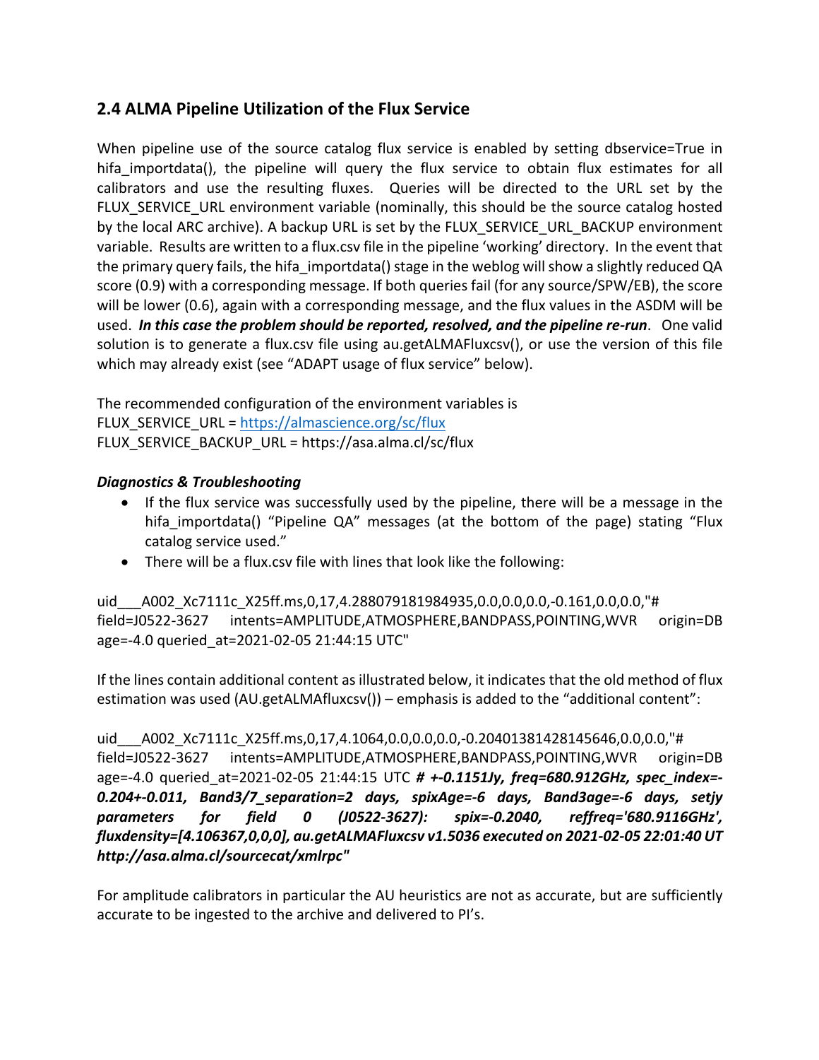## **2.4 ALMA Pipeline Utilization of the Flux Service**

When pipeline use of the source catalog flux service is enabled by setting dbservice=True in hifa importdata(), the pipeline will query the flux service to obtain flux estimates for all calibrators and use the resulting fluxes. Queries will be directed to the URL set by the FLUX SERVICE URL environment variable (nominally, this should be the source catalog hosted by the local ARC archive). A backup URL is set by the FLUX\_SERVICE\_URL\_BACKUP environment variable. Results are written to a flux.csv file in the pipeline 'working' directory. In the event that the primary query fails, the hifa importdata() stage in the weblog will show a slightly reduced QA score (0.9) with a corresponding message. If both queries fail (for any source/SPW/EB), the score will be lower (0.6), again with a corresponding message, and the flux values in the ASDM will be used. *In this case the problem should be reported, resolved, and the pipeline re-run*. One valid solution is to generate a flux.csv file using au.getALMAFluxcsv(), or use the version of this file which may already exist (see "ADAPT usage of flux service" below).

The recommended configuration of the environment variables is FLUX\_SERVICE\_URL = https://almascience.org/sc/flux FLUX\_SERVICE\_BACKUP\_URL = https://asa.alma.cl/sc/flux

#### *Diagnostics & Troubleshooting*

- If the flux service was successfully used by the pipeline, there will be a message in the hifa importdata() "Pipeline QA" messages (at the bottom of the page) stating "Flux catalog service used."
- There will be a flux.csv file with lines that look like the following:

uid A002 Xc7111c X25ff.ms,0,17,4.288079181984935,0.0,0.0,0.0,-0.161,0.0,0.0,"# field=J0522-3627 intents=AMPLITUDE,ATMOSPHERE,BANDPASS,POINTING,WVR origin=DB age=-4.0 queried\_at=2021-02-05 21:44:15 UTC"

If the lines contain additional content as illustrated below, it indicates that the old method of flux estimation was used (AU.getALMAfluxcsv()) – emphasis is added to the "additional content":

uid\_\_\_A002\_Xc7111c\_X25ff.ms,0,17,4.1064,0.0,0.0,0.0,-0.20401381428145646,0.0,0.0,"# field=J0522-3627 intents=AMPLITUDE,ATMOSPHERE,BANDPASS,POINTING,WVR origin=DB age=-4.0 queried\_at=2021-02-05 21:44:15 UTC *# +-0.1151Jy, freq=680.912GHz, spec\_index=- 0.204+-0.011, Band3/7\_separation=2 days, spixAge=-6 days, Band3age=-6 days, setjy parameters for field 0 (J0522-3627): spix=-0.2040, reffreq='680.9116GHz', fluxdensity=[4.106367,0,0,0], au.getALMAFluxcsv v1.5036 executed on 2021-02-05 22:01:40 UT http://asa.alma.cl/sourcecat/xmlrpc"*

For amplitude calibrators in particular the AU heuristics are not as accurate, but are sufficiently accurate to be ingested to the archive and delivered to PI's.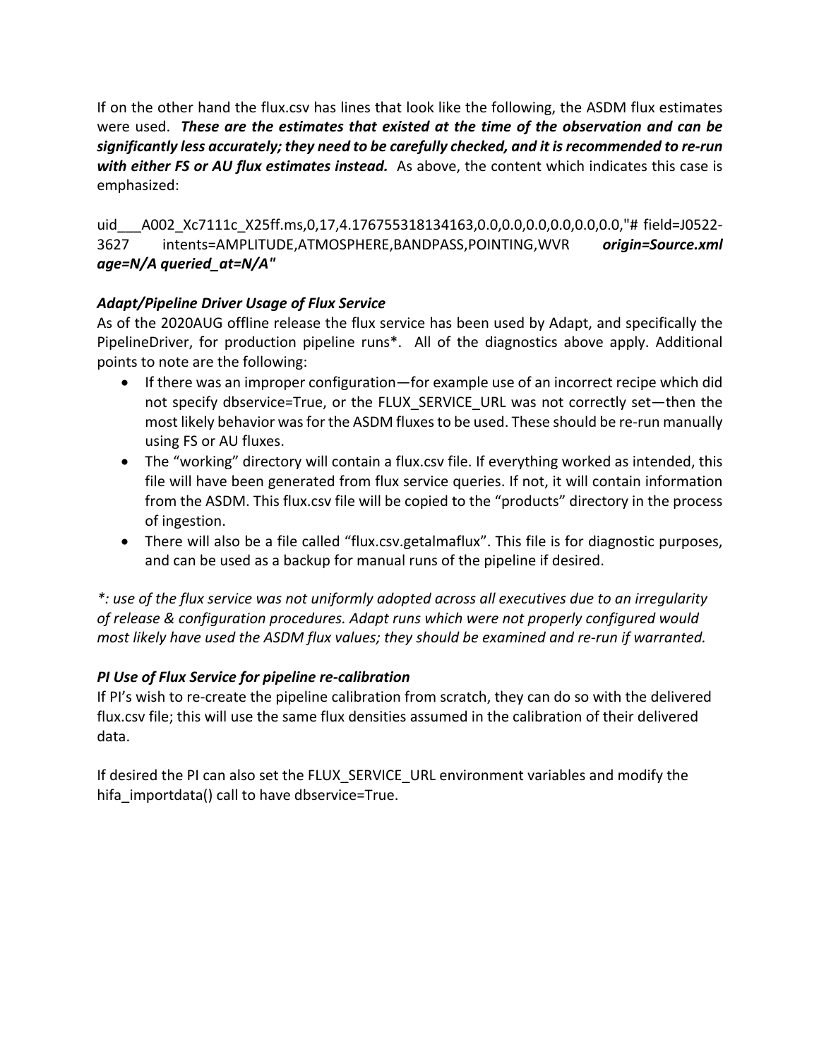If on the other hand the flux.csv has lines that look like the following, the ASDM flux estimates were used. *These are the estimates that existed at the time of the observation and can be significantly less accurately; they need to be carefully checked, and it is recommended to re-run with either FS or AU flux estimates instead.* As above, the content which indicates this case is emphasized:

uid A002 Xc7111c X25ff.ms,0,17,4.176755318134163,0.0,0.0,0.0,0.0,0.0,0.0,"# field=J0522-3627 intents=AMPLITUDE,ATMOSPHERE,BANDPASS,POINTING,WVR *origin=Source.xml age=N/A queried\_at=N/A"*

#### *Adapt/Pipeline Driver Usage of Flux Service*

As of the 2020AUG offline release the flux service has been used by Adapt, and specifically the PipelineDriver, for production pipeline runs\*. All of the diagnostics above apply. Additional points to note are the following:

- If there was an improper configuration—for example use of an incorrect recipe which did not specify dbservice=True, or the FLUX\_SERVICE\_URL was not correctly set—then the most likely behavior was for the ASDM fluxes to be used. These should be re-run manually using FS or AU fluxes.
- The "working" directory will contain a flux.csv file. If everything worked as intended, this file will have been generated from flux service queries. If not, it will contain information from the ASDM. This flux.csv file will be copied to the "products" directory in the process of ingestion.
- There will also be a file called "flux.csv.getalmaflux". This file is for diagnostic purposes, and can be used as a backup for manual runs of the pipeline if desired.

*\*: use of the flux service was not uniformly adopted across all executives due to an irregularity of release & configuration procedures. Adapt runs which were not properly configured would most likely have used the ASDM flux values; they should be examined and re-run if warranted.*

#### *PI Use of Flux Service for pipeline re-calibration*

If PI's wish to re-create the pipeline calibration from scratch, they can do so with the delivered flux.csv file; this will use the same flux densities assumed in the calibration of their delivered data.

If desired the PI can also set the FLUX\_SERVICE\_URL environment variables and modify the hifa importdata() call to have dbservice=True.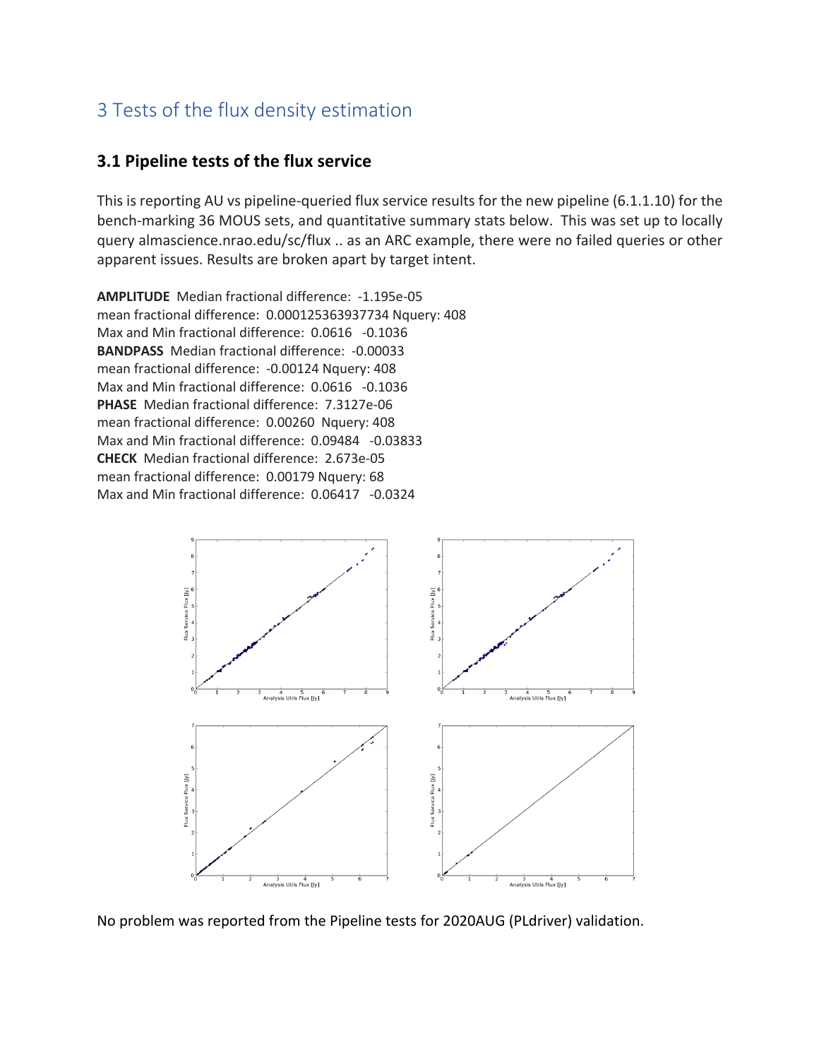# 3 Tests of the flux density estimation

#### **3.1 Pipeline tests of the flux service**

This is reporting AU vs pipeline-queried flux service results for the new pipeline (6.1.1.10) for the bench-marking 36 MOUS sets, and quantitative summary stats below. This was set up to locally query almascience.nrao.edu/sc/flux .. as an ARC example, there were no failed queries or other apparent issues. Results are broken apart by target intent.

**AMPLITUDE** Median fractional difference: -1.195e-05 mean fractional difference: 0.000125363937734 Nquery: 408 Max and Min fractional difference: 0.0616 -0.1036 **BANDPASS** Median fractional difference: -0.00033 mean fractional difference: -0.00124 Nquery: 408 Max and Min fractional difference: 0.0616 -0.1036 **PHASE** Median fractional difference: 7.3127e-06 mean fractional difference: 0.00260 Nquery: 408 Max and Min fractional difference: 0.09484 -0.03833 **CHECK** Median fractional difference: 2.673e-05 mean fractional difference: 0.00179 Nquery: 68 Max and Min fractional difference: 0.06417 -0.0324



No problem was reported from the Pipeline tests for 2020AUG (PLdriver) validation.